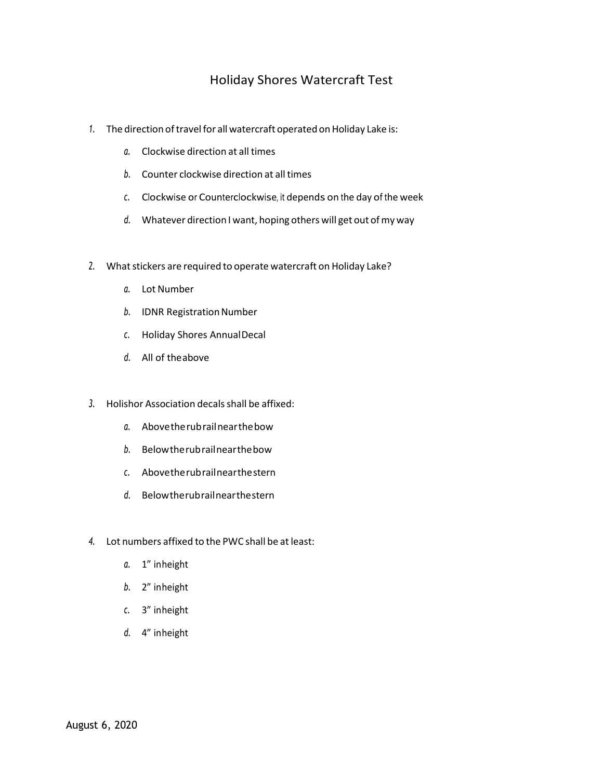# Holiday Shores Watercraft Test

- 1. The direction of travel for all watercraft operated on Holiday Lake is:
	- *a.* Clockwise direction at all times
	- **b.** Counter clockwise direction at all times
	- *c.* Clockwise or Counterclockwise, it depends on the day of the week
	- *d.* Whatever direction I want, hoping others will get out ofmy way
- 2. What stickers are required to operate watercraft on Holiday Lake?
	- *a.* Lot Number
	- **b.** IDNR Registration Number
	- *c.* Holiday Shores AnnualDecal
	- *d.* All of theabove
- *3.* Holishor Association decalsshall be affixed:
	- *a.* Abovetherubrailnearthebow
	- *b.* Belowtherubrailnearthebow
	- *c.* Abovetherubrailnearthestern
	- *d.* Belowtherubrailnearthestern
- *4.* Lot numbers affixed to the PWC shall be atleast:
	- *a.* 1" inheight
	- *b.* 2" inheight
	- *c.* 3" inheight
	- *d.* 4" inheight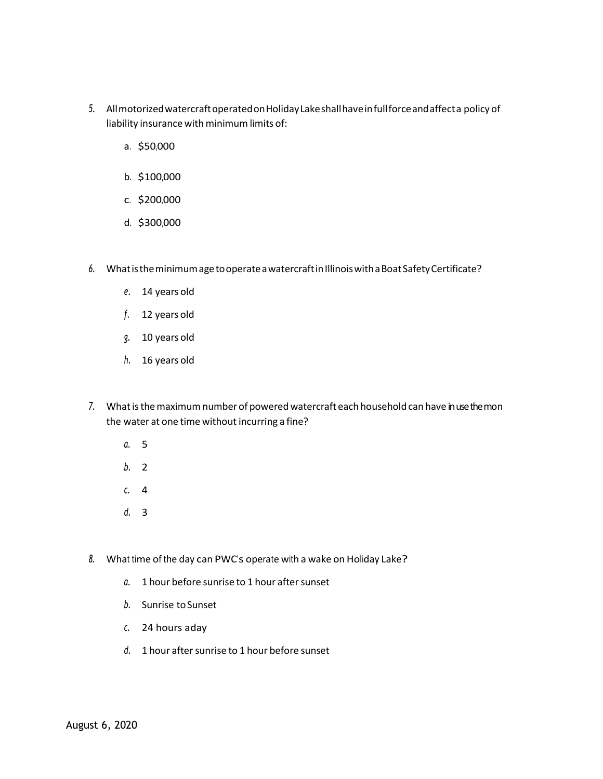- *5.* AllmotorizedwatercraftoperatedonHolidayLakeshallhaveinfullforceandaffecta policy of liability insurance with minimum limits of:
	- a. \$50,000
	- b. \$100,000
	- c. \$200,000
	- d. \$300,000
- *6.* WhatistheminimumagetooperateawatercraftinIllinoiswithaBoatSafetyCertificate?
	- *e.* 14 years old
	- *f.* 12 years old
	- *g.* 10 years old
	- *h.* 16 years old
- 7. What is the maximum number of powered watercraft each household can have in use the mon the water at one time without incurring a fine?
	- *a.* 5
	- *b.* 2
	- *c.* 4
	- *d.* 3
- *8.* What time of the day can PWC's operate with a wake on Holiday Lake?
	- a. 1 hour before sunrise to 1 hour after sunset
	- *b.* Sunrise toSunset
	- *c.* 24 hours aday
	- d. 1 hour after sunrise to 1 hour before sunset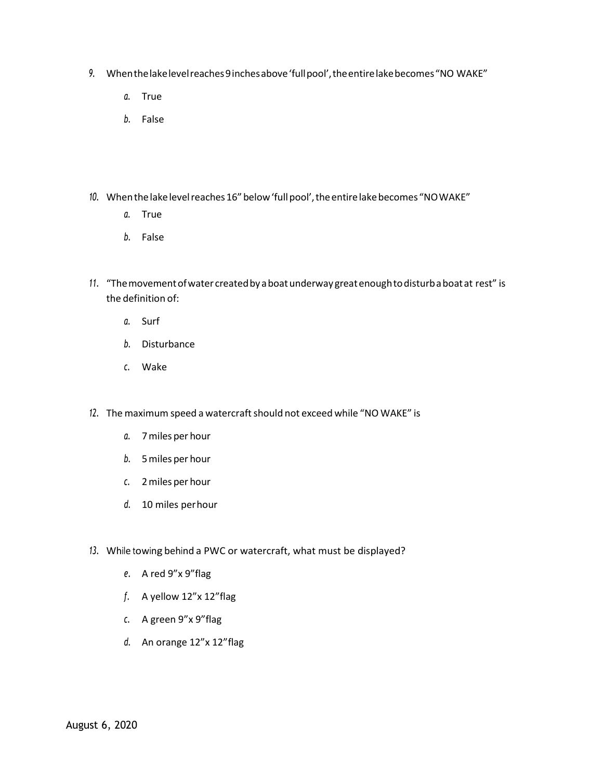- *9.* Whenthelakelevelreaches9inchesabove'fullpool',theentirelakebecomes"NO WAKE"
	- *a.* True
	- *b.* False
- 10. When the lake level reaches 16" below 'full pool', the entire lake becomes "NOWAKE"
	- *a.* True
	- *b.* False
- *11.* "Themovementofwater createdbyaboatunderwaygreatenoughtodisturbaboatat rest" is the definition of:
	- *a.* Surf
	- *b.* Disturbance
	- *c.* Wake
- 12. The maximum speed a watercraft should not exceed while "NO WAKE" is
	- *a.* 7miles per hour
	- *b.* 5miles per hour
	- *c.* 2miles per hour
	- *d.* 10 miles perhour
- *13.* While towing behind a PWC or watercraft, what must be displayed?
	- *e.* A red 9"x 9"flag
	- *f.* A yellow 12"x 12"flag
	- *c.* A green 9"x 9"flag
	- *d.* An orange 12"x 12"flag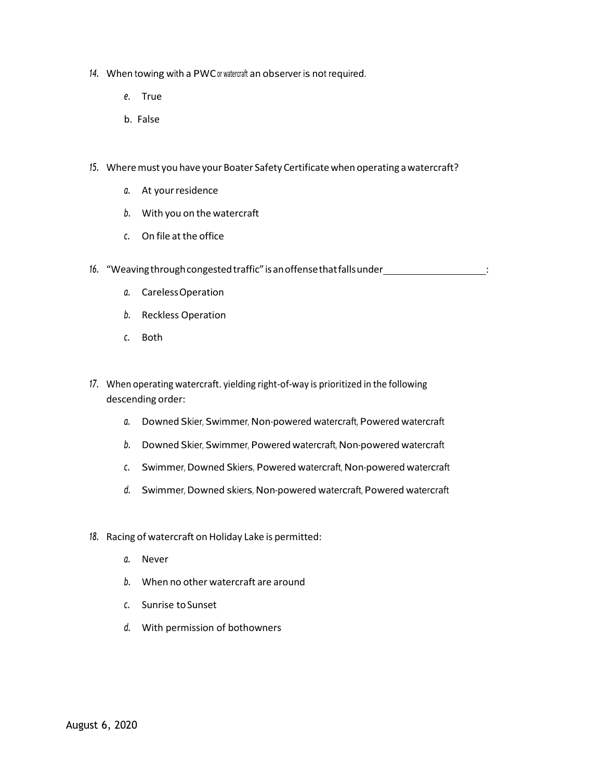- *14.* When towing with a PWCor watercraft an observer is not required.
	- *e.* True
	- b. False
- 15. Where must you have your Boater Safety Certificate when operating a watercraft?
	- *a.* At yourresidence
	- *b.* With you on the watercraft
	- *c.* On file atthe office
- 16. "Weaving through congested traffic" is an offense that falls under **interact and the set of the set of the s** 
	- *a.* CarelessOperation
	- *b.* Reckless Operation
	- *c.* Both
- *17.* When operating watercraft. yielding right-of-way is prioritized in the following descending order:
	- *a.* Downed Skier, Swimmer, Non-powered watercraft, Powered watercraft
	- *b.* Downed Skier, Swimmer, Powered watercraft, Non-powered watercraft
	- *c.* Swimmer, Downed Skiers, Powered watercraft, Non-powered watercraft
	- *d.* Swimmer, Downed skiers, Non-powered watercraft, Powered watercraft
- *18.* Racing of watercraft on Holiday Lake is permitted:
	- *a.* Never
	- *b.* When no other watercraft are around
	- *c.* Sunrise toSunset
	- *d.* With permission of bothowners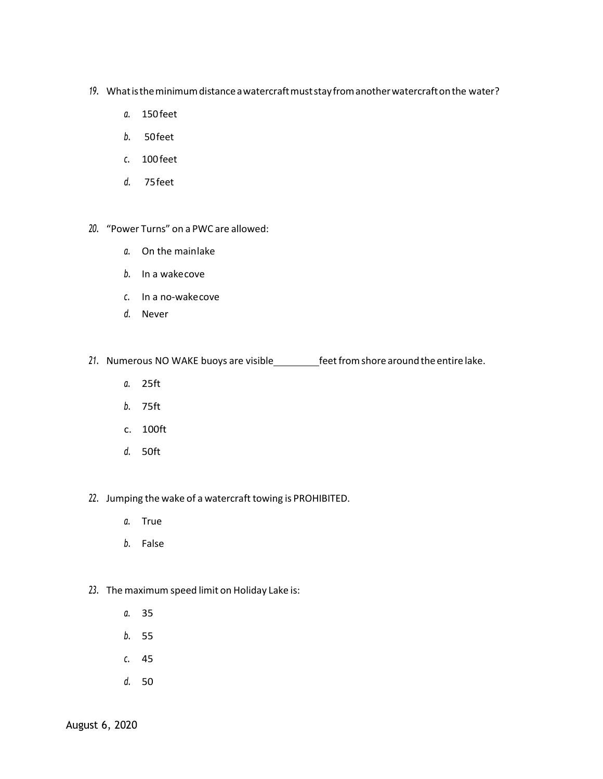- *19.* Whatistheminimumdistanceawatercraftmuststayfromanotherwatercraftonthe water?
	- *a.* 150feet
	- *b.* 50feet
	- *c.* 100feet
	- *d.* 75feet

#### *20.* "Power Turns" on a PWC are allowed:

- *a.* On the mainlake
- *b.* In a wakecove
- *c.* In a no-wakecove
- *d.* Never

# 21. Numerous NO WAKE buoys are visible\_\_\_\_\_\_\_\_\_feet from shore around the entire lake.

- *a.* 25ft
- *b.* 75ft
- c. 100ft
- *d.* 50ft

### *22.* Jumping the wake of a watercraft towing is PROHIBITED.

- *a.* True
- *b.* False

## *23.* The maximum speed limit on Holiday Lake is:

- *a.* 35
- *b.* 55
- *c.* 45
- *d.* 50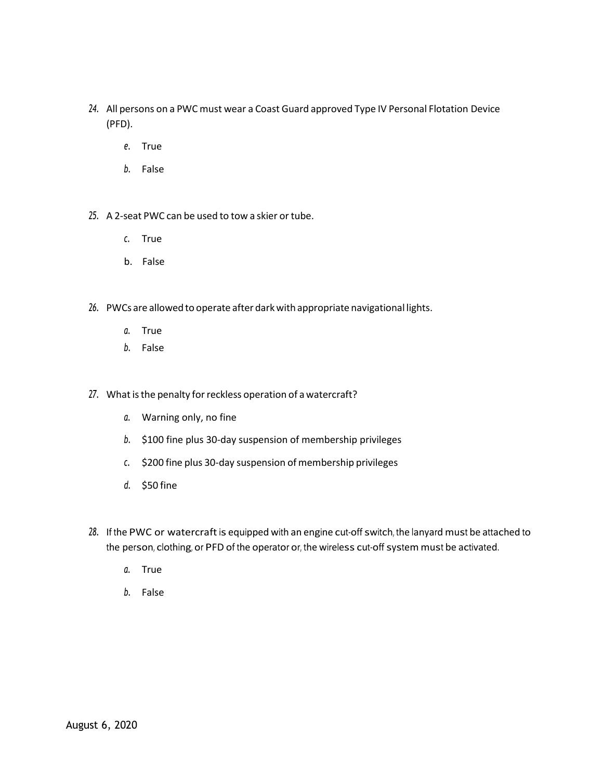- *24.* All persons on a PWC must wear a Coast Guard approved Type IV Personal Flotation Device (PFD).
	- *e.* True
	- *b.* False
- 25. A 2-seat PWC can be used to tow a skier or tube.
	- *c.* True
	- b. False
- 26. PWCs are allowed to operate after dark with appropriate navigational lights.
	- *a.* True
	- *b.* False
- 27. What is the penalty for reckless operation of a watercraft?
	- *a.* Warning only, no fine
	- *b.* \$100 fine plus 30-day suspension of membership privileges
	- *c.* \$200 fine plus 30-day suspension of membership privileges
	- *d.* \$50 fine
- 28. If the PWC or watercraft is equipped with an engine cut-off switch, the lanyard must be attached to the person, clothing, or PFD of the operator or, the wireless cut-off system must be activated.
	- *a.* True
	- *b.* False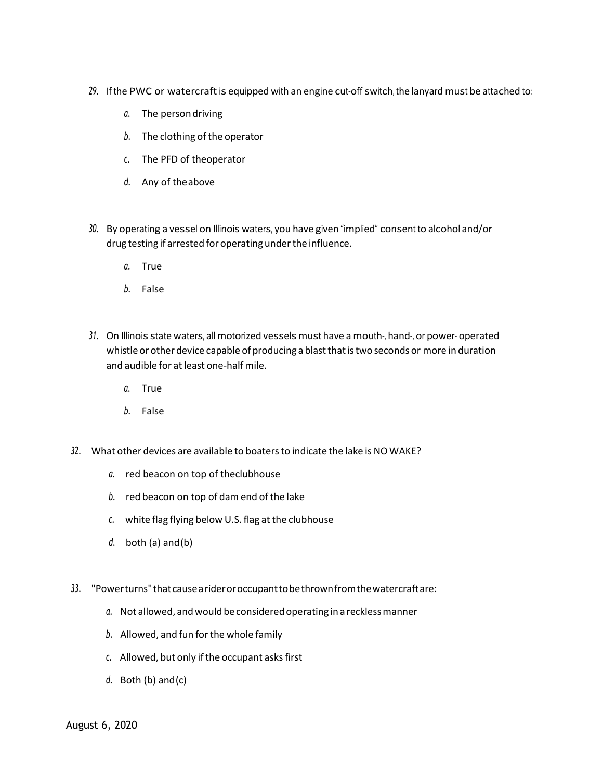- 29. If the PWC or watercraft is equipped with an engine cut-off switch, the lanyard must be attached to:
	- *a.* The persondriving
	- b. The clothing of the operator
	- *c.* The PFD of theoperator
	- *d.* Any of theabove
- *30.* By operating a vessel on Illinois waters, you have given "implied" consent to alcohol and/or drug testing if arrested for operating under the influence.
	- *a.* True
	- *b.* False
- 31. On Illinois state waters, all motorized vessels must have a mouth-, hand-, or power- operated whistle or other device capable of producing a blast that is two seconds or more in duration and audible for at least one-half mile.
	- *a.* True
	- *b.* False
- *32.* What other devices are available to boatersto indicate the lake is NO WAKE?
	- *a.* red beacon on top of theclubhouse
	- *b.* red beacon on top of dam end ofthe lake
	- c. white flag flying below U.S. flag at the clubhouse
	- *d.* both (a) and(b)
- *33.* "Powerturns"thatcausearideroroccupanttobethrownfromthewatercraftare:
	- a. Not allowed, and would be considered operating in a reckless manner
	- *b.* Allowed, and fun forthe whole family
	- *c.* Allowed, but only ifthe occupant asksfirst
	- *d.* Both (b) and(c)